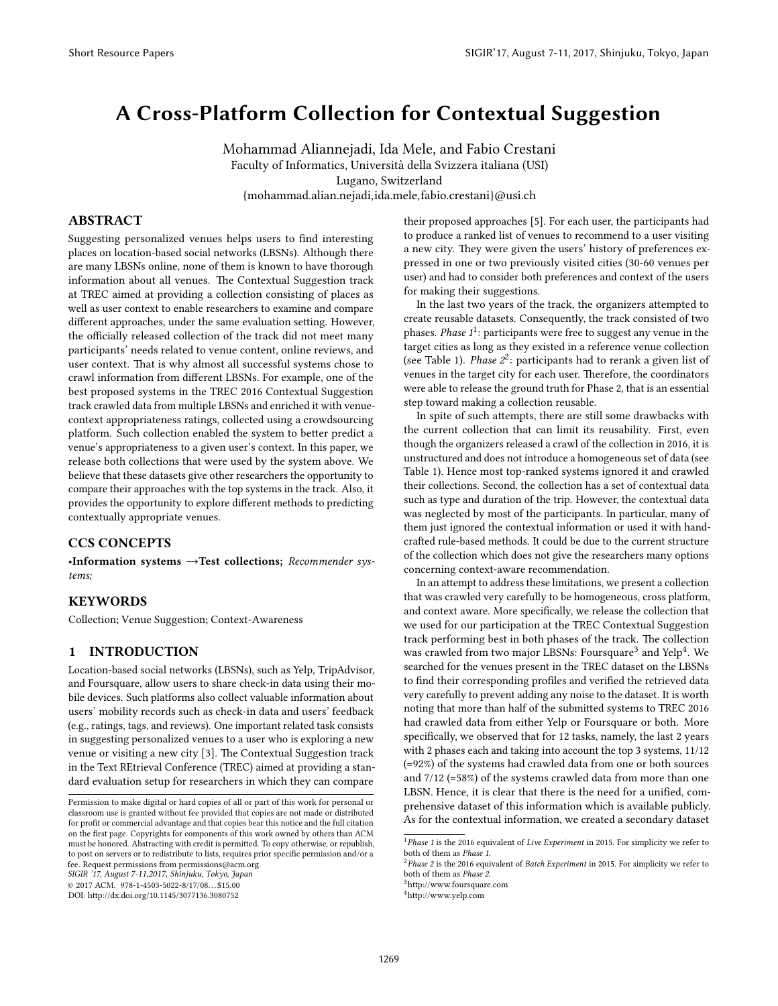# A Cross-Platform Collection for Contextual Suggestion

Mohammad Aliannejadi, Ida Mele, and Fabio Crestani Faculty of Informatics, Universita della Svizzera italiana (USI) ` Lugano, Switzerland {mohammad.alian.nejadi,ida.mele,fabio.crestani}@usi.ch

#### ABSTRACT

Suggesting personalized venues helps users to find interesting places on location-based social networks (LBSNs). Although there are many LBSNs online, none of them is known to have thorough information about all venues. The Contextual Suggestion track at TREC aimed at providing a collection consisting of places as well as user context to enable researchers to examine and compare different approaches, under the same evaluation setting. However, the officially released collection of the track did not meet many participants' needs related to venue content, online reviews, and user context. That is why almost all successful systems chose to crawl information from different LBSNs. For example, one of the best proposed systems in the TREC 2016 Contextual Suggestion track crawled data from multiple LBSNs and enriched it with venuecontext appropriateness ratings, collected using a crowdsourcing platform. Such collection enabled the system to better predict a venue's appropriateness to a given user's context. In this paper, we release both collections that were used by the system above. We believe that these datasets give other researchers the opportunity to compare their approaches with the top systems in the track. Also, it provides the opportunity to explore different methods to predicting contextually appropriate venues.

### CCS CONCEPTS

•Information systems →Test collections; Recommender systems;

## **KEYWORDS**

Collection; Venue Suggestion; Context-Awareness

### 1 INTRODUCTION

Location-based social networks (LBSNs), such as Yelp, TripAdvisor, and Foursquare, allow users to share check-in data using their mobile devices. Such platforms also collect valuable information about users' mobility records such as check-in data and users' feedback (e.g., ratings, tags, and reviews). One important related task consists in suggesting personalized venues to a user who is exploring a new venue or visiting a new city [\[3\]](#page-3-0). The Contextual Suggestion track in the Text REtrieval Conference (TREC) aimed at providing a standard evaluation setup for researchers in which they can compare

SIGIR '17, *August 7-11,2017,* Shinjuku, Tokyo, Japan

their proposed approaches [\[5\]](#page-3-1). For each user, the participants had to produce a ranked list of venues to recommend to a user visiting a new city. They were given the users' history of preferences expressed in one or two previously visited cities (30-60 venues per user) and had to consider both preferences and context of the users for making their suggestions.

In the last two years of the track, the organizers attempted to create reusable datasets. Consequently, the track consisted of two phases. *Phase [1](#page-0-0)* $^1$ : participants were free to suggest any venue in the target cities as long as they existed in a reference venue collection (see Table [1\)](#page-1-0). *Phase*  $2^2$  $2^2$ : participants had to rerank a given list of venues in the target city for each user. Therefore, the coordinators were able to release the ground truth for Phase 2, that is an essential step toward making a collection reusable.

In spite of such attempts, there are still some drawbacks with the current collection that can limit its reusability. First, even though the organizers released a crawl of the collection in 2016, it is unstructured and does not introduce a homogeneous set of data (see Table [1\)](#page-1-0). Hence most top-ranked systems ignored it and crawled their collections. Second, the collection has a set of contextual data such as type and duration of the trip. However, the contextual data was neglected by most of the participants. In particular, many of them just ignored the contextual information or used it with handcrafted rule-based methods. It could be due to the current structure of the collection which does not give the researchers many options concerning context-aware recommendation.

In an attempt to address these limitations, we present a collection that was crawled very carefully to be homogeneous, cross platform, and context aware. More specifically, we release the collection that we used for our participation at the TREC Contextual Suggestion track performing best in both phases of the track. The collection was crawled from two major LBSNs: Foursquare $^3$  $^3$  and Yelp $^4$  $^4$ . We searched for the venues present in the TREC dataset on the LBSNs to find their corresponding profiles and verified the retrieved data very carefully to prevent adding any noise to the dataset. It is worth noting that more than half of the submitted systems to TREC 2016 had crawled data from either Yelp or Foursquare or both. More specifically, we observed that for 12 tasks, namely, the last 2 years with 2 phases each and taking into account the top 3 systems, 11/12 (=92%) of the systems had crawled data from one or both sources and 7/12 (=58%) of the systems crawled data from more than one LBSN. Hence, it is clear that there is the need for a unified, comprehensive dataset of this information which is available publicly. As for the contextual information, we created a secondary dataset

Permission to make digital or hard copies of all or part of this work for personal or classroom use is granted without fee provided that copies are not made or distributed for profit or commercial advantage and that copies bear this notice and the full citation on the first page. Copyrights for components of this work owned by others than ACM must be honored. Abstracting with credit is permitted. To copy otherwise, or republish, to post on servers or to redistribute to lists, requires prior specific permission and/or a fee. Request permissions from permissions@acm.org.

<sup>©</sup> 2017 ACM. 978-1-4503-5022-8/17/08. . . \$15.00

DOI: http://dx.doi.org/10.1145/3077136.3080752

<span id="page-0-0"></span><sup>&</sup>lt;sup>1</sup> Phase 1 is the 2016 equivalent of Live Experiment in 2015. For simplicity we refer to both of them as Phase 1.

<span id="page-0-1"></span> $2$ Phase 2 is the 2016 equivalent of Batch Experiment in 2015. For simplicity we refer to both of them as Phase 2.

<span id="page-0-2"></span><sup>&</sup>lt;sup>3</sup>http://www.foursquare.com

<span id="page-0-3"></span><sup>4</sup>[hp://www.yelp.com](http://www.yelp.com)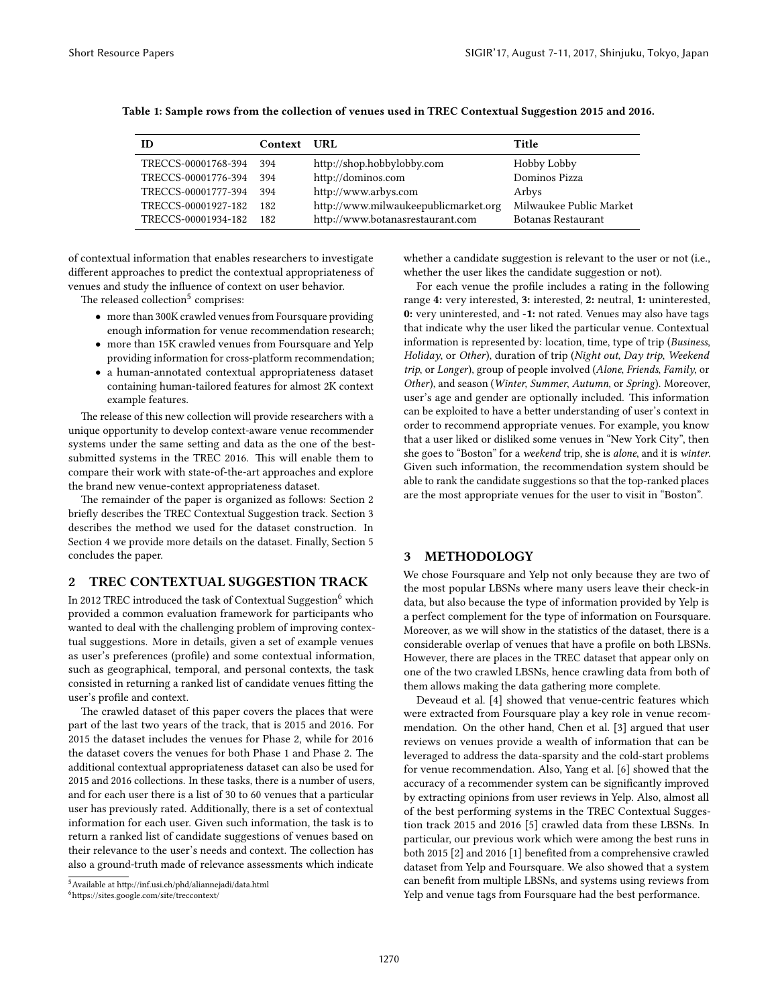| ID                  | <b>Context URL</b> |                                      | Title                   |
|---------------------|--------------------|--------------------------------------|-------------------------|
| TRECCS-00001768-394 | 394                | http://shop.hobbylobby.com           | Hobby Lobby             |
| TRECCS-00001776-394 | 394                | http://dominos.com                   | Dominos Pizza           |
| TRECCS-00001777-394 | 394                | http://www.arbys.com                 | Arbys                   |
| TRECCS-00001927-182 | 182                | http://www.milwaukeepublicmarket.org | Milwaukee Public Market |
| TRECCS-00001934-182 | 182                | http://www.botanasrestaurant.com     | Botanas Restaurant      |

<span id="page-1-0"></span>Table 1: Sample rows from the collection of venues used in TREC Contextual Suggestion 2015 and 2016.

of contextual information that enables researchers to investigate different approaches to predict the contextual appropriateness of venues and study the influence of context on user behavior.

The released collection $^5$  $^5$  comprises:

- more than 300K crawled venues from Foursquare providing enough information for venue recommendation research;
- more than 15K crawled venues from Foursquare and Yelp providing information for cross-platform recommendation;
- a human-annotated contextual appropriateness dataset containing human-tailored features for almost 2K context example features.

The release of this new collection will provide researchers with a unique opportunity to develop context-aware venue recommender systems under the same setting and data as the one of the bestsubmitted systems in the TREC 2016. This will enable them to compare their work with state-of-the-art approaches and explore the brand new venue-context appropriateness dataset.

The remainder of the paper is organized as follows: Section [2](#page-1-2) briefly describes the TREC Contextual Suggestion track. Section [3](#page-1-3) describes the method we used for the dataset construction. In Section [4](#page-2-0) we provide more details on the dataset. Finally, Section [5](#page-3-2) concludes the paper.

#### <span id="page-1-2"></span>2 TREC CONTEXTUAL SUGGESTION TRACK

In 2012 TREC introduced the task of Contextual Suggestion<sup>[6](#page-1-4)</sup> which provided a common evaluation framework for participants who wanted to deal with the challenging problem of improving contextual suggestions. More in details, given a set of example venues as user's preferences (profile) and some contextual information, such as geographical, temporal, and personal contexts, the task consisted in returning a ranked list of candidate venues fitting the user's profile and context.

The crawled dataset of this paper covers the places that were part of the last two years of the track, that is 2015 and 2016. For 2015 the dataset includes the venues for Phase 2, while for 2016 the dataset covers the venues for both Phase 1 and Phase 2. The additional contextual appropriateness dataset can also be used for 2015 and 2016 collections. In these tasks, there is a number of users, and for each user there is a list of 30 to 60 venues that a particular user has previously rated. Additionally, there is a set of contextual information for each user. Given such information, the task is to return a ranked list of candidate suggestions of venues based on their relevance to the user's needs and context. The collection has also a ground-truth made of relevance assessments which indicate

<span id="page-1-4"></span> $<sup>6</sup>$ https://sites.google.com/site/treccontext/</sup>

whether a candidate suggestion is relevant to the user or not (i.e., whether the user likes the candidate suggestion or not).

For each venue the profile includes a rating in the following range 4: very interested, 3: interested, 2: neutral, 1: uninterested, 0: very uninterested, and -1: not rated. Venues may also have tags that indicate why the user liked the particular venue. Contextual information is represented by: location, time, type of trip (Business, Holiday, or Other), duration of trip (Night out, Day trip, Weekend trip, or Longer), group of people involved (Alone, Friends, Family, or Other), and season (Winter, Summer, Autumn, or Spring). Moreover, user's age and gender are optionally included. This information can be exploited to have a better understanding of user's context in order to recommend appropriate venues. For example, you know that a user liked or disliked some venues in "New York City", then she goes to "Boston" for a weekend trip, she is alone, and it is winter. Given such information, the recommendation system should be able to rank the candidate suggestions so that the top-ranked places are the most appropriate venues for the user to visit in "Boston".

#### <span id="page-1-3"></span>3 METHODOLOGY

We chose Foursquare and Yelp not only because they are two of the most popular LBSNs where many users leave their check-in data, but also because the type of information provided by Yelp is a perfect complement for the type of information on Foursquare. Moreover, as we will show in the statistics of the dataset, there is a considerable overlap of venues that have a profile on both LBSNs. However, there are places in the TREC dataset that appear only on one of the two crawled LBSNs, hence crawling data from both of them allows making the data gathering more complete.

Deveaud et al. [\[4\]](#page-3-3) showed that venue-centric features which were extracted from Foursquare play a key role in venue recommendation. On the other hand, Chen et al. [\[3\]](#page-3-0) argued that user reviews on venues provide a wealth of information that can be leveraged to address the data-sparsity and the cold-start problems for venue recommendation. Also, Yang et al. [\[6\]](#page-3-4) showed that the accuracy of a recommender system can be significantly improved by extracting opinions from user reviews in Yelp. Also, almost all of the best performing systems in the TREC Contextual Suggestion track 2015 and 2016 [\[5\]](#page-3-1) crawled data from these LBSNs. In particular, our previous work which were among the best runs in both 2015  $[2]$  and 2016  $[1]$  benefited from a comprehensive crawled dataset from Yelp and Foursquare. We also showed that a system can benefit from multiple LBSNs, and systems using reviews from Yelp and venue tags from Foursquare had the best performance.

<span id="page-1-1"></span> $5$ Available at http://inf.usi.ch/phd/aliannejadi/data.html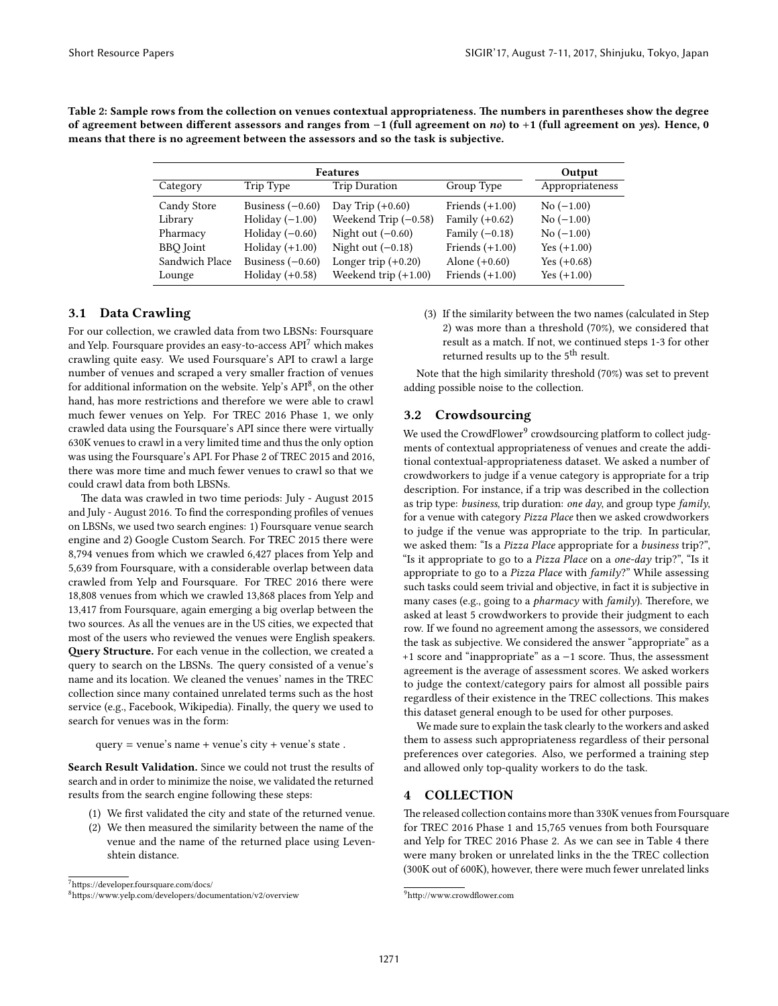|                  | Output             |                        |                   |                 |
|------------------|--------------------|------------------------|-------------------|-----------------|
| Category         | Trip Type          | <b>Trip Duration</b>   | Group Type        | Appropriateness |
| Candy Store      | Business $(-0.60)$ | Day Trip $(+0.60)$     | Friends $(+1.00)$ | $No (-1.00)$    |
| Library          | Holiday $(-1.00)$  | Weekend Trip $(-0.58)$ | Family $(+0.62)$  | $No (-1.00)$    |
| Pharmacy         | Holiday $(-0.60)$  | Night out $(-0.60)$    | Family $(-0.18)$  | $No (-1.00)$    |
| <b>BBO</b> Joint | Holiday $(+1.00)$  | Night out $(-0.18)$    | Friends $(+1.00)$ | Yes $(+1.00)$   |
| Sandwich Place   | Business $(-0.60)$ | Longer trip $(+0.20)$  | Alone $(+0.60)$   | Yes $(+0.68)$   |
| Lounge           | Holiday $(+0.58)$  | Weekend trip $(+1.00)$ | Friends $(+1.00)$ | Yes $(+1.00)$   |

<span id="page-2-4"></span>Table 2: Sample rows from the collection on venues contextual appropriateness. The numbers in parentheses show the degree of agreement between different assessors and ranges from -1 (full agreement on no) to +1 (full agreement on yes). Hence, 0 means that there is no agreement between the assessors and so the task is subjective.

## 3.1 Data Crawling

For our collection, we crawled data from two LBSNs: Foursquare and Yelp. Foursquare provides an easy-to-access API[7](#page-2-1) which makes crawling quite easy. We used Foursquare's API to crawl a large number of venues and scraped a very smaller fraction of venues for additional information on the website. Yelp's API<sup>[8](#page-2-2)</sup>, on the other hand, has more restrictions and therefore we were able to crawl much fewer venues on Yelp. For TREC 2016 Phase 1, we only crawled data using the Foursquare's API since there were virtually 630K venues to crawl in a very limited time and thus the only option was using the Foursquare's API. For Phase 2 of TREC 2015 and 2016, there was more time and much fewer venues to crawl so that we could crawl data from both LBSNs.

The data was crawled in two time periods: July - August 2015 and July - August 2016. To find the corresponding profiles of venues on LBSNs, we used two search engines: 1) Foursquare venue search engine and 2) Google Custom Search. For TREC 2015 there were 8,794 venues from which we crawled 6,427 places from Yelp and 5,639 from Foursquare, with a considerable overlap between data crawled from Yelp and Foursquare. For TREC 2016 there were 18,808 venues from which we crawled 13,868 places from Yelp and 13,417 from Foursquare, again emerging a big overlap between the two sources. As all the venues are in the US cities, we expected that most of the users who reviewed the venues were English speakers. Query Structure. For each venue in the collection, we created a query to search on the LBSNs. The query consisted of a venue's name and its location. We cleaned the venues' names in the TREC collection since many contained unrelated terms such as the host service (e.g., Facebook, Wikipedia). Finally, the query we used to search for venues was in the form:

query = venue's name + venue's city + venue's state.

Search Result Validation. Since we could not trust the results of search and in order to minimize the noise, we validated the returned results from the search engine following these steps:

- (1) We first validated the city and state of the returned venue.
- (2) We then measured the similarity between the name of the venue and the name of the returned place using Levenshtein distance.

(3) If the similarity between the two names (calculated in Step 2) was more than a threshold (70%), we considered that result as a match. If not, we continued steps 1-3 for other returned results up to the 5<sup>th</sup> result.

Note that the high similarity threshold (70%) was set to prevent adding possible noise to the collection.

## 3.2 Crowdsourcing

We used the CrowdFlower<sup>[9](#page-2-3)</sup> crowdsourcing platform to collect judgments of contextual appropriateness of venues and create the additional contextual-appropriateness dataset. We asked a number of crowdworkers to judge if a venue category is appropriate for a trip description. For instance, if a trip was described in the collection as trip type: business, trip duration: one day, and group type family, for a venue with category Pizza Place then we asked crowdworkers to judge if the venue was appropriate to the trip. In particular, we asked them: "Is a Pizza Place appropriate for a business trip?", "Is it appropriate to go to a Pizza Place on a one-day trip?", "Is it appropriate to go to a Pizza Place with family?" While assessing such tasks could seem trivial and objective, in fact it is subjective in many cases (e.g., going to a *pharmacy* with family). Therefore, we asked at least 5 crowdworkers to provide their judgment to each row. If we found no agreement among the assessors, we considered the task as subjective. We considered the answer "appropriate" as a +1 score and "inappropriate" as a -1 score. Thus, the assessment agreement is the average of assessment scores. We asked workers to judge the context/category pairs for almost all possible pairs regardless of their existence in the TREC collections. This makes this dataset general enough to be used for other purposes.

We made sure to explain the task clearly to the workers and asked them to assess such appropriateness regardless of their personal preferences over categories. Also, we performed a training step and allowed only top-quality workers to do the task.

## <span id="page-2-0"></span>4 COLLECTION

The released collection contains more than 330K venues from Foursquare for TREC 2016 Phase 1 and 15,765 venues from both Foursquare and Yelp for TREC 2016 Phase 2. As we can see in Table [4](#page-3-7) there were many broken or unrelated links in the the TREC collection (300K out of 600K), however, there were much fewer unrelated links

<span id="page-2-1"></span> $7$ https://developer.foursquare.com/docs/

<span id="page-2-2"></span> $8$ https://www.yelp.com/developers/documentation/v2/overview

<span id="page-2-3"></span><sup>&</sup>lt;sup>9</sup>http://www.crowdflower.com